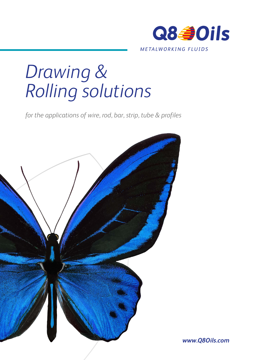

# *Drawing & Rolling solutions*

*for the applications of wire, rod, bar, strip, tube & profiles*



*www.Q8Oils.com*